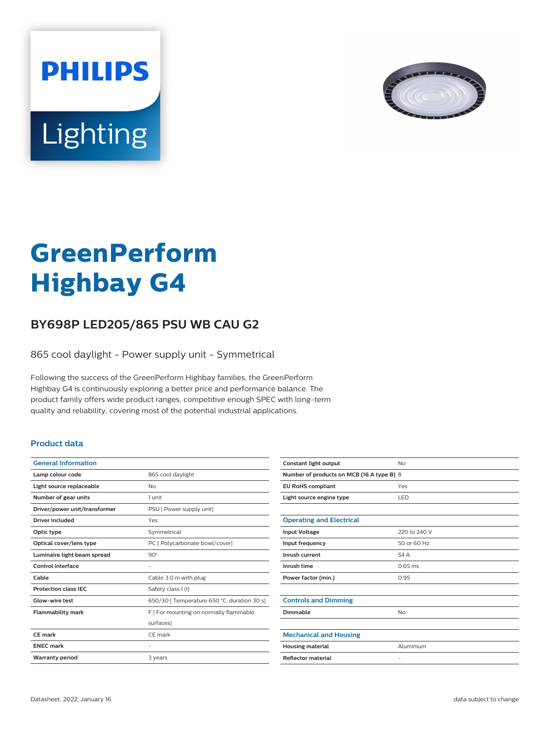



# **GreenPerform Highbay G4**

## **BY698P LED205/865 PSU WB CAU G2**

865 cool daylight - Power supply unit - Symmetrical

Following the success of the GreenPerform Highbay families, the GreenPerform Highbay G4 is continuously exploring a better price and performance balance. The product family offers wide product ranges, competitive enough SPEC with long-term quality and reliability, covering most of the potential industrial applications.

#### **Product data**

| <b>General Information</b>    |                                             |
|-------------------------------|---------------------------------------------|
| Lamp colour code              | 865 cool daylight                           |
| Light source replaceable      | No                                          |
| Number of gear units          | 1 unit                                      |
| Driver/power unit/transformer | PSU [ Power supply unit]                    |
| <b>Driver included</b>        | Yes                                         |
| Optic type                    | Symmetrical                                 |
| Optical cover/lens type       | PC [ Polycarbonate bowl/cover]              |
| Luminaire light beam spread   | $90^\circ$                                  |
| Control interface             |                                             |
| Cable                         | Cable 3.0 m with plug                       |
| <b>Protection class IEC</b>   | Safety class I (I)                          |
| Glow-wire test                | 650/30   Temperature 650 °C, duration 30 s] |
| <b>Flammability mark</b>      | F   For mounting on normally flammable      |
|                               | surfaces]                                   |
| CF mark                       | CF mark                                     |
| <b>ENEC mark</b>              |                                             |
| <b>Warranty period</b>        | 3 years                                     |
|                               |                                             |

| Constant light output                     | <b>No</b>         |  |
|-------------------------------------------|-------------------|--|
| Number of products on MCB (16 A type B) 8 |                   |  |
| <b>EU RoHS compliant</b>                  | Yes               |  |
| Light source engine type                  | LED               |  |
|                                           |                   |  |
| <b>Operating and Electrical</b>           |                   |  |
| <b>Input Voltage</b>                      | 220 to 240 V      |  |
| Input frequency                           | 50 or 60 Hz       |  |
| Inrush current                            | 54 A              |  |
| Inrush time                               | $0.65$ ms         |  |
| Power factor (min.)                       | 0.95              |  |
|                                           |                   |  |
| <b>Controls and Dimming</b>               |                   |  |
| Dimmable                                  | No                |  |
|                                           |                   |  |
| <b>Mechanical and Housing</b>             |                   |  |
| <b>Housing material</b>                   | Aluminium         |  |
| <b>Reflector material</b>                 | $\qquad \qquad -$ |  |
|                                           |                   |  |